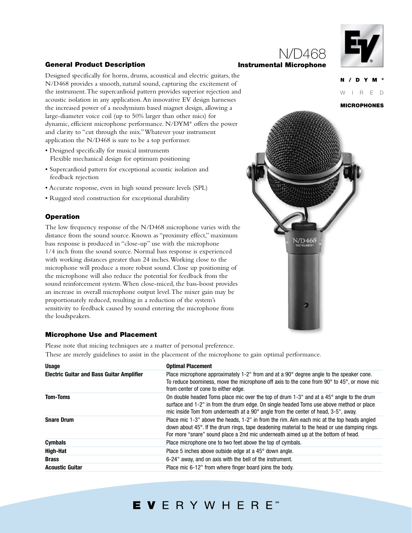### **General Product Description**

### Designed specifically for horns, drums, acoustical and electric guitars, the N/D468 provides a smooth, natural sound, capturing the excitement of the instrument.The supercardioid pattern provides superior rejection and acoustic isolation in any application.An innovative EV design harnesses the increased power of a neodymium based magnet design, allowing a large-diameter voice coil (up to 50% larger than other mics) for dynamic, efficient microphone performance. N/DYM® offers the power and clarity to "cut through the mix."Whatever your instrument application the N/D468 is sure to be a top performer.

- Designed specifically for musical instruments Flexible mechanical design for optimum positioning
- Supercardioid pattern for exceptional acoustic isolation and feedback rejection
- Accurate response, even in high sound pressure levels (SPL)
- Rugged steel construction for exceptional durability

### **Operation**

The low frequency response of the N/D468 microphone varies with the distance from the sound source. Known as "proximity effect," maximum bass response is produced in "close-up" use with the microphone 1/4 inch from the sound source. Normal bass response is experienced with working distances greater than 24 inches.Working close to the microphone will produce a more robust sound. Close up positioning of the microphone will also reduce the potential for feedback from the sound reinforcement system.When close-miced, the bass-boost provides an increase in overall microphone output level.The mixer gain may be proportionately reduced, resulting in a reduction of the system's sensitivity to feedback caused by sound entering the microphone from the loudspeakers.

### **Microphone Use and Placement**

Please note that micing techniques are a matter of personal preference. These are merely guidelines to assist in the placement of the microphone to gain optimal performance.

| <b>Usage</b>                                     | <b>Optimal Placement</b>                                                                                                                                                                                                                                                                |
|--------------------------------------------------|-----------------------------------------------------------------------------------------------------------------------------------------------------------------------------------------------------------------------------------------------------------------------------------------|
| <b>Electric Guitar and Bass Guitar Amplifier</b> | Place microphone approximately 1-2" from and at a 90° degree angle to the speaker cone.<br>To reduce boominess, move the microphone off axis to the cone from $90^{\circ}$ to $45^{\circ}$ , or move mic<br>from center of cone to either edge.                                         |
| <b>Tom-Toms</b>                                  | On double headed Toms place mic over the top of drum 1-3" and at a 45° angle to the drum<br>surface and 1-2" in from the drum edge. On single headed Toms use above method or place<br>mic inside Tom from underneath at a 90 $^{\circ}$ angle from the center of head, 3-5", away.     |
| <b>Snare Drum</b>                                | Place mic 1-3" above the heads, 1-2" in from the rim. Aim each mic at the top heads angled<br>down about $45^\circ$ . If the drum rings, tape deadening material to the head or use damping rings.<br>For more "snare" sound place a 2nd mic underneath aimed up at the bottom of head. |
| <b>Cymbals</b>                                   | Place microphone one to two feet above the top of cymbals.                                                                                                                                                                                                                              |
| High-Hat                                         | Place 5 inches above outside edge at a 45° down angle.                                                                                                                                                                                                                                  |
| <b>Brass</b>                                     | 6-24" away, and on axis with the bell of the instrument.                                                                                                                                                                                                                                |
| <b>Acoustic Guitar</b>                           | Place mic 6-12" from where finger board joins the body.                                                                                                                                                                                                                                 |

### **Instrumental Microphone**

N/D468



**MICROPHONES**

R E D



# EVERYWHERE<sup>\*</sup>